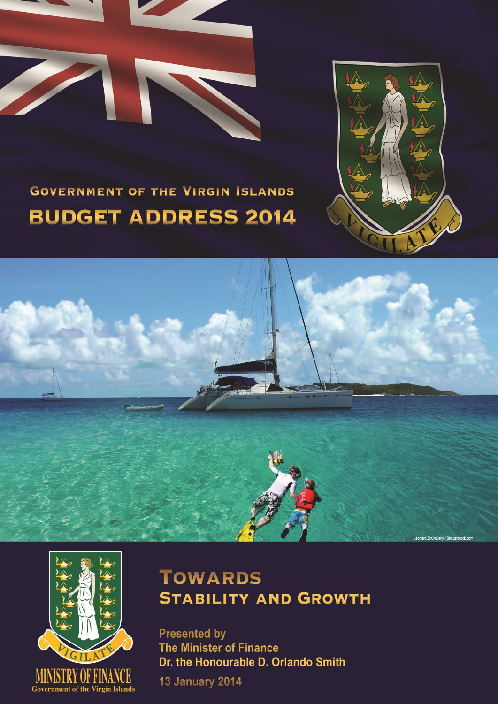



# **GOVERNMENT OF THE VIRGIN ISLANDS BUDGET ADDRESS 2014**





## **TOWARDS STABILITY AND GROWTH**

**Presented by** The Minister of Finance Dr. the Honourable D. Orlando Smith

**13 January 2014**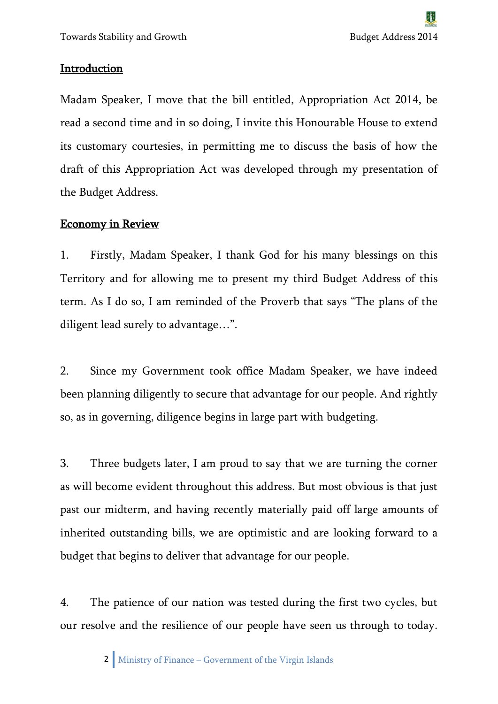#### Introduction

Madam Speaker, I move that the bill entitled, Appropriation Act 2014, be read a second time and in so doing, I invite this Honourable House to extend its customary courtesies, in permitting me to discuss the basis of how the draft of this Appropriation Act was developed through my presentation of the Budget Address.

#### Economy in Review

1. Firstly, Madam Speaker, I thank God for his many blessings on this Territory and for allowing me to present my third Budget Address of this term. As I do so, I am reminded of the Proverb that says "The plans of the diligent lead surely to advantage…".

2. Since my Government took office Madam Speaker, we have indeed been planning diligently to secure that advantage for our people. And rightly so, as in governing, diligence begins in large part with budgeting.

3. Three budgets later, I am proud to say that we are turning the corner as will become evident throughout this address. But most obvious is that just past our midterm, and having recently materially paid off large amounts of inherited outstanding bills, we are optimistic and are looking forward to a budget that begins to deliver that advantage for our people.

4. The patience of our nation was tested during the first two cycles, but our resolve and the resilience of our people have seen us through to today.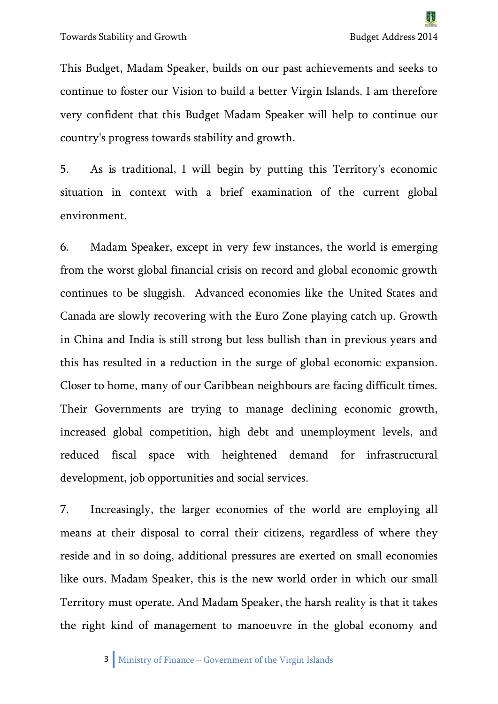This Budget, Madam Speaker, builds on our past achievements and seeks to continue to foster our Vision to build a better Virgin Islands. I am therefore very confident that this Budget Madam Speaker will help to continue our country's progress towards stability and growth.

5. As is traditional, I will begin by putting this Territory's economic situation in context with a brief examination of the current global environment.

6. Madam Speaker, except in very few instances, the world is emerging from the worst global financial crisis on record and global economic growth continues to be sluggish. Advanced economies like the United States and Canada are slowly recovering with the Euro Zone playing catch up. Growth in China and India is still strong but less bullish than in previous years and this has resulted in a reduction in the surge of global economic expansion. Closer to home, many of our Caribbean neighbours are facing difficult times. Their Governments are trying to manage declining economic growth, increased global competition, high debt and unemployment levels, and reduced fiscal space with heightened demand for infrastructural development, job opportunities and social services.

7. Increasingly, the larger economies of the world are employing all means at their disposal to corral their citizens, regardless of where they reside and in so doing, additional pressures are exerted on small economies like ours. Madam Speaker, this is the new world order in which our small Territory must operate. And Madam Speaker, the harsh reality is that it takes the right kind of management to manoeuvre in the global economy and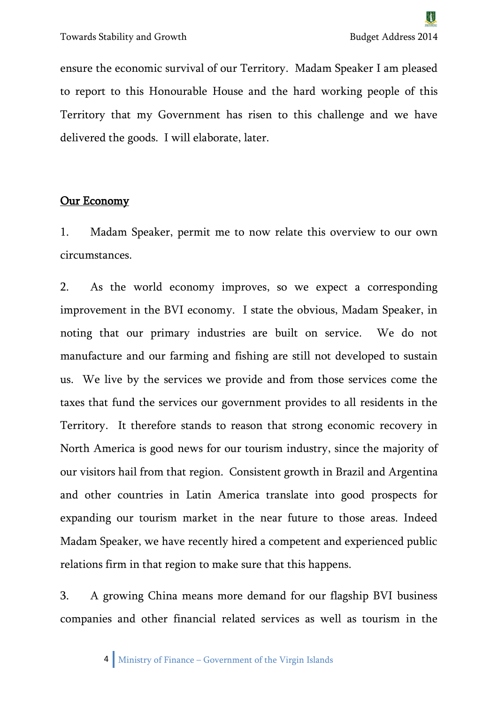ensure the economic survival of our Territory. Madam Speaker I am pleased to report to this Honourable House and the hard working people of this Territory that my Government has risen to this challenge and we have delivered the goods. I will elaborate, later.

### Our Economy

1. Madam Speaker, permit me to now relate this overview to our own circumstances.

2. As the world economy improves, so we expect a corresponding improvement in the BVI economy. I state the obvious, Madam Speaker, in noting that our primary industries are built on service. We do not manufacture and our farming and fishing are still not developed to sustain us. We live by the services we provide and from those services come the taxes that fund the services our government provides to all residents in the Territory. It therefore stands to reason that strong economic recovery in North America is good news for our tourism industry, since the majority of our visitors hail from that region. Consistent growth in Brazil and Argentina and other countries in Latin America translate into good prospects for expanding our tourism market in the near future to those areas. Indeed Madam Speaker, we have recently hired a competent and experienced public relations firm in that region to make sure that this happens.

3. A growing China means more demand for our flagship BVI business companies and other financial related services as well as tourism in the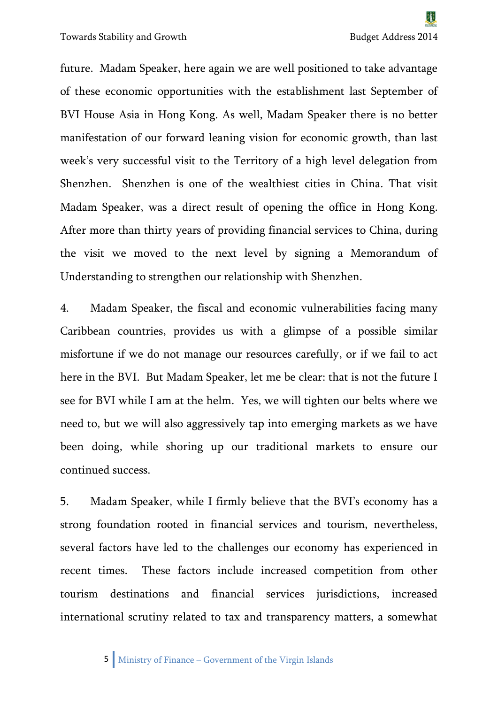future. Madam Speaker, here again we are well positioned to take advantage of these economic opportunities with the establishment last September of BVI House Asia in Hong Kong. As well, Madam Speaker there is no better manifestation of our forward leaning vision for economic growth, than last week's very successful visit to the Territory of a high level delegation from Shenzhen. Shenzhen is one of the wealthiest cities in China. That visit Madam Speaker, was a direct result of opening the office in Hong Kong. After more than thirty years of providing financial services to China, during the visit we moved to the next level by signing a Memorandum of Understanding to strengthen our relationship with Shenzhen.

4. Madam Speaker, the fiscal and economic vulnerabilities facing many Caribbean countries, provides us with a glimpse of a possible similar misfortune if we do not manage our resources carefully, or if we fail to act here in the BVI. But Madam Speaker, let me be clear: that is not the future I see for BVI while I am at the helm. Yes, we will tighten our belts where we need to, but we will also aggressively tap into emerging markets as we have been doing, while shoring up our traditional markets to ensure our continued success.

5. Madam Speaker, while I firmly believe that the BVI's economy has a strong foundation rooted in financial services and tourism, nevertheless, several factors have led to the challenges our economy has experienced in recent times. These factors include increased competition from other tourism destinations and financial services jurisdictions, increased international scrutiny related to tax and transparency matters, a somewhat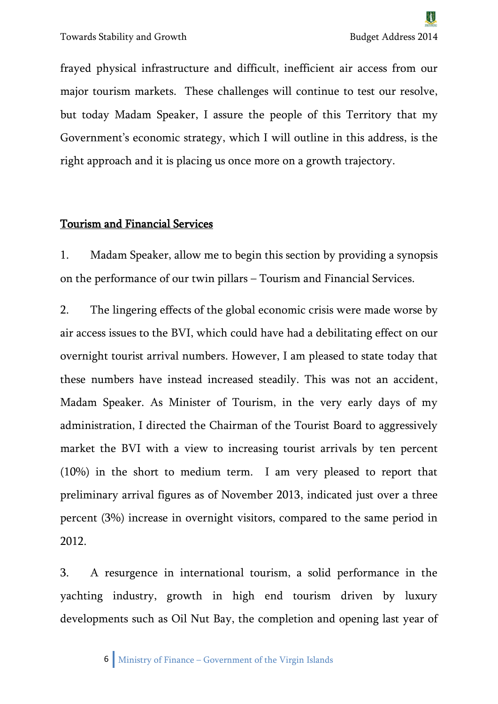frayed physical infrastructure and difficult, inefficient air access from our major tourism markets. These challenges will continue to test our resolve, but today Madam Speaker, I assure the people of this Territory that my Government's economic strategy, which I will outline in this address, is the right approach and it is placing us once more on a growth trajectory.

#### Tourism and Financial Services

1. Madam Speaker, allow me to begin this section by providing a synopsis on the performance of our twin pillars – Tourism and Financial Services.

2. The lingering effects of the global economic crisis were made worse by air access issues to the BVI, which could have had a debilitating effect on our overnight tourist arrival numbers. However, I am pleased to state today that these numbers have instead increased steadily. This was not an accident, Madam Speaker. As Minister of Tourism, in the very early days of my administration, I directed the Chairman of the Tourist Board to aggressively market the BVI with a view to increasing tourist arrivals by ten percent (10%) in the short to medium term. I am very pleased to report that preliminary arrival figures as of November 2013, indicated just over a three percent (3%) increase in overnight visitors, compared to the same period in 2012.

3. A resurgence in international tourism, a solid performance in the yachting industry, growth in high end tourism driven by luxury developments such as Oil Nut Bay, the completion and opening last year of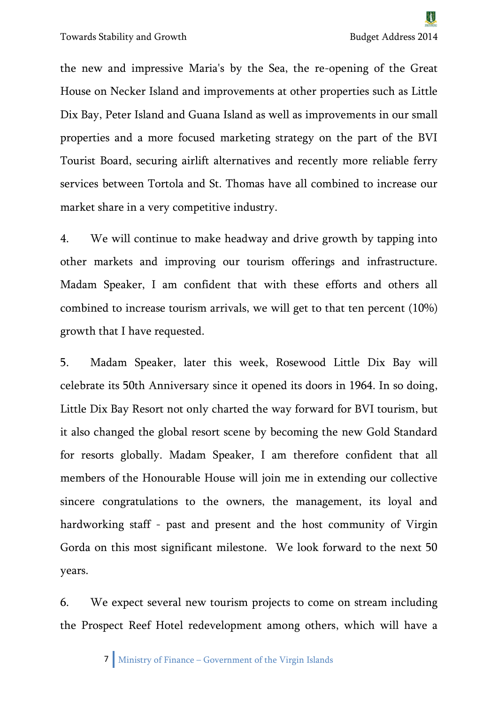Towards Stability and Growth Budget Address 2014

the new and impressive Maria's by the Sea, the re-opening of the Great House on Necker Island and improvements at other properties such as Little Dix Bay, Peter Island and Guana Island as well as improvements in our small properties and a more focused marketing strategy on the part of the BVI Tourist Board, securing airlift alternatives and recently more reliable ferry services between Tortola and St. Thomas have all combined to increase our market share in a very competitive industry.

4. We will continue to make headway and drive growth by tapping into other markets and improving our tourism offerings and infrastructure. Madam Speaker, I am confident that with these efforts and others all combined to increase tourism arrivals, we will get to that ten percent (10%) growth that I have requested.

5. Madam Speaker, later this week, Rosewood Little Dix Bay will celebrate its 50th Anniversary since it opened its doors in 1964. In so doing, Little Dix Bay Resort not only charted the way forward for BVI tourism, but it also changed the global resort scene by becoming the new Gold Standard for resorts globally. Madam Speaker, I am therefore confident that all members of the Honourable House will join me in extending our collective sincere congratulations to the owners, the management, its loyal and hardworking staff - past and present and the host community of Virgin Gorda on this most significant milestone. We look forward to the next 50 years.

6. We expect several new tourism projects to come on stream including the Prospect Reef Hotel redevelopment among others, which will have a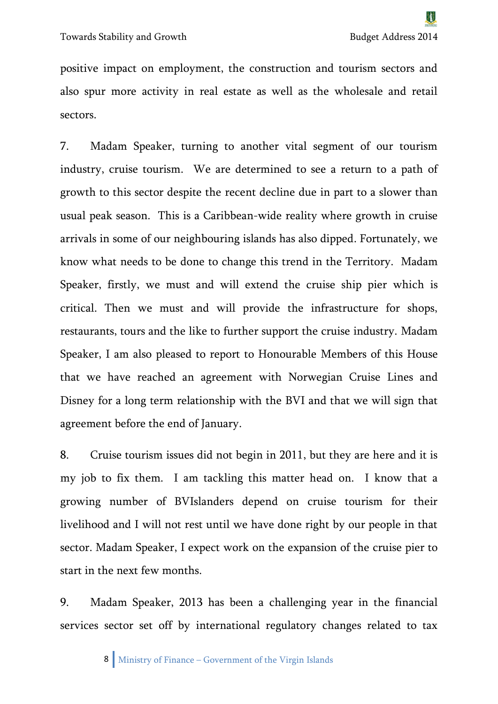positive impact on employment, the construction and tourism sectors and also spur more activity in real estate as well as the wholesale and retail sectors.

7. Madam Speaker, turning to another vital segment of our tourism industry, cruise tourism. We are determined to see a return to a path of growth to this sector despite the recent decline due in part to a slower than usual peak season. This is a Caribbean-wide reality where growth in cruise arrivals in some of our neighbouring islands has also dipped. Fortunately, we know what needs to be done to change this trend in the Territory. Madam Speaker, firstly, we must and will extend the cruise ship pier which is critical. Then we must and will provide the infrastructure for shops, restaurants, tours and the like to further support the cruise industry. Madam Speaker, I am also pleased to report to Honourable Members of this House that we have reached an agreement with Norwegian Cruise Lines and Disney for a long term relationship with the BVI and that we will sign that agreement before the end of January.

8. Cruise tourism issues did not begin in 2011, but they are here and it is my job to fix them. I am tackling this matter head on. I know that a growing number of BVIslanders depend on cruise tourism for their livelihood and I will not rest until we have done right by our people in that sector. Madam Speaker, I expect work on the expansion of the cruise pier to start in the next few months.

9. Madam Speaker, 2013 has been a challenging year in the financial services sector set off by international regulatory changes related to tax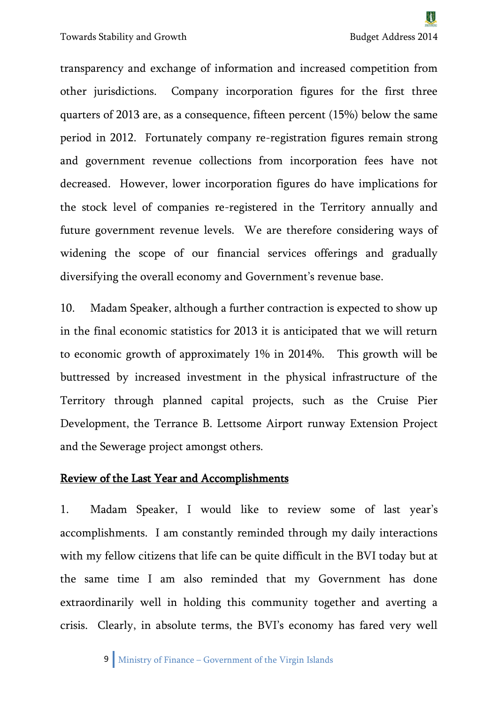transparency and exchange of information and increased competition from other jurisdictions. Company incorporation figures for the first three quarters of 2013 are, as a consequence, fifteen percent (15%) below the same period in 2012. Fortunately company re-registration figures remain strong and government revenue collections from incorporation fees have not decreased. However, lower incorporation figures do have implications for the stock level of companies re-registered in the Territory annually and future government revenue levels. We are therefore considering ways of widening the scope of our financial services offerings and gradually diversifying the overall economy and Government's revenue base.

10. Madam Speaker, although a further contraction is expected to show up in the final economic statistics for 2013 it is anticipated that we will return to economic growth of approximately 1% in 2014%. This growth will be buttressed by increased investment in the physical infrastructure of the Territory through planned capital projects, such as the Cruise Pier Development, the Terrance B. Lettsome Airport runway Extension Project and the Sewerage project amongst others.

#### Review of the Last Year and Accomplishments

1. Madam Speaker, I would like to review some of last year's accomplishments. I am constantly reminded through my daily interactions with my fellow citizens that life can be quite difficult in the BVI today but at the same time I am also reminded that my Government has done extraordinarily well in holding this community together and averting a crisis. Clearly, in absolute terms, the BVI's economy has fared very well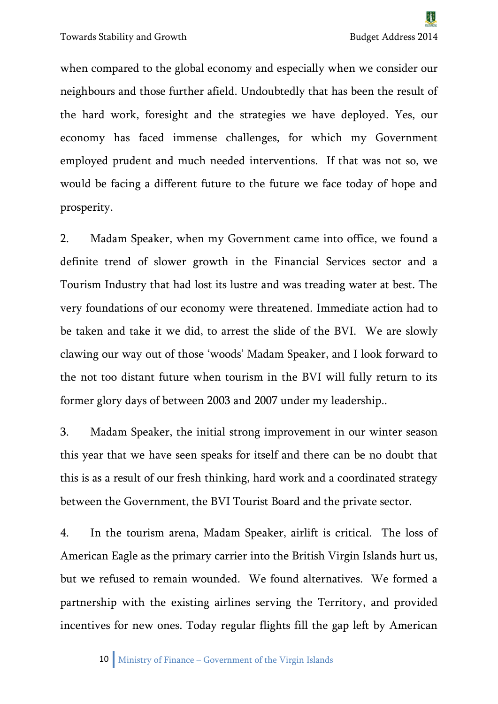when compared to the global economy and especially when we consider our neighbours and those further afield. Undoubtedly that has been the result of the hard work, foresight and the strategies we have deployed. Yes, our economy has faced immense challenges, for which my Government employed prudent and much needed interventions. If that was not so, we would be facing a different future to the future we face today of hope and prosperity.

2. Madam Speaker, when my Government came into office, we found a definite trend of slower growth in the Financial Services sector and a Tourism Industry that had lost its lustre and was treading water at best. The very foundations of our economy were threatened. Immediate action had to be taken and take it we did, to arrest the slide of the BVI. We are slowly clawing our way out of those 'woods' Madam Speaker, and I look forward to the not too distant future when tourism in the BVI will fully return to its former glory days of between 2003 and 2007 under my leadership..

3. Madam Speaker, the initial strong improvement in our winter season this year that we have seen speaks for itself and there can be no doubt that this is as a result of our fresh thinking, hard work and a coordinated strategy between the Government, the BVI Tourist Board and the private sector.

4. In the tourism arena, Madam Speaker, airlift is critical. The loss of American Eagle as the primary carrier into the British Virgin Islands hurt us, but we refused to remain wounded. We found alternatives. We formed a partnership with the existing airlines serving the Territory, and provided incentives for new ones. Today regular flights fill the gap left by American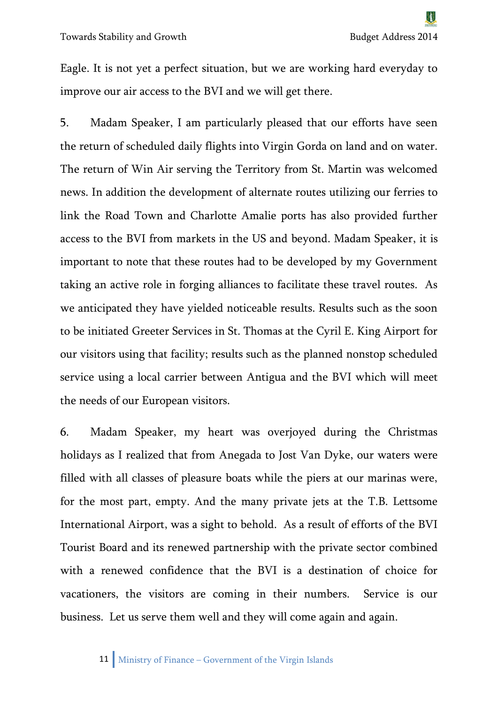Eagle. It is not yet a perfect situation, but we are working hard everyday to improve our air access to the BVI and we will get there.

5. Madam Speaker, I am particularly pleased that our efforts have seen the return of scheduled daily flights into Virgin Gorda on land and on water. The return of Win Air serving the Territory from St. Martin was welcomed news. In addition the development of alternate routes utilizing our ferries to link the Road Town and Charlotte Amalie ports has also provided further access to the BVI from markets in the US and beyond. Madam Speaker, it is important to note that these routes had to be developed by my Government taking an active role in forging alliances to facilitate these travel routes. As we anticipated they have yielded noticeable results. Results such as the soon to be initiated Greeter Services in St. Thomas at the Cyril E. King Airport for our visitors using that facility; results such as the planned nonstop scheduled service using a local carrier between Antigua and the BVI which will meet the needs of our European visitors.

6. Madam Speaker, my heart was overjoyed during the Christmas holidays as I realized that from Anegada to Jost Van Dyke, our waters were filled with all classes of pleasure boats while the piers at our marinas were, for the most part, empty. And the many private jets at the T.B. Lettsome International Airport, was a sight to behold. As a result of efforts of the BVI Tourist Board and its renewed partnership with the private sector combined with a renewed confidence that the BVI is a destination of choice for vacationers, the visitors are coming in their numbers. Service is our business. Let us serve them well and they will come again and again.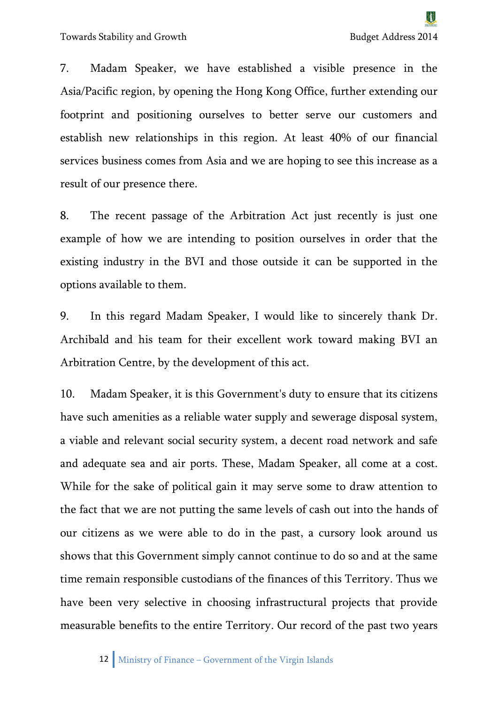7. Madam Speaker, we have established a visible presence in the Asia/Pacific region, by opening the Hong Kong Office, further extending our footprint and positioning ourselves to better serve our customers and establish new relationships in this region. At least 40% of our financial services business comes from Asia and we are hoping to see this increase as a result of our presence there.

8. The recent passage of the Arbitration Act just recently is just one example of how we are intending to position ourselves in order that the existing industry in the BVI and those outside it can be supported in the options available to them.

9. In this regard Madam Speaker, I would like to sincerely thank Dr. Archibald and his team for their excellent work toward making BVI an Arbitration Centre, by the development of this act.

10. Madam Speaker, it is this Government's duty to ensure that its citizens have such amenities as a reliable water supply and sewerage disposal system, a viable and relevant social security system, a decent road network and safe and adequate sea and air ports. These, Madam Speaker, all come at a cost. While for the sake of political gain it may serve some to draw attention to the fact that we are not putting the same levels of cash out into the hands of our citizens as we were able to do in the past, a cursory look around us shows that this Government simply cannot continue to do so and at the same time remain responsible custodians of the finances of this Territory. Thus we have been very selective in choosing infrastructural projects that provide measurable benefits to the entire Territory. Our record of the past two years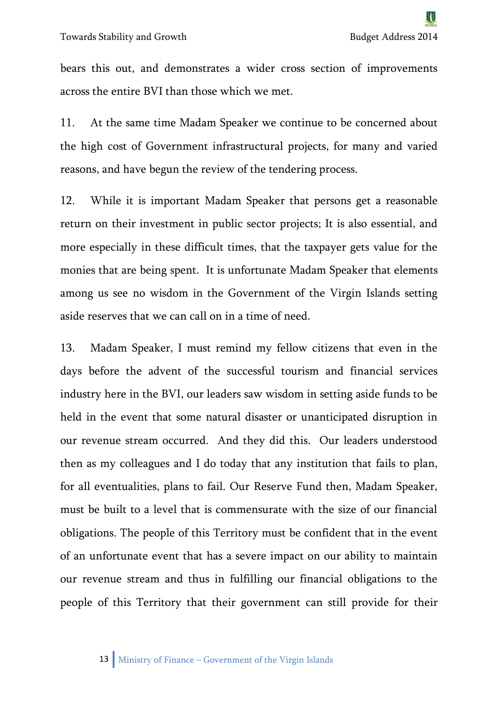bears this out, and demonstrates a wider cross section of improvements across the entire BVI than those which we met.

11. At the same time Madam Speaker we continue to be concerned about the high cost of Government infrastructural projects, for many and varied reasons, and have begun the review of the tendering process.

12. While it is important Madam Speaker that persons get a reasonable return on their investment in public sector projects; It is also essential, and more especially in these difficult times, that the taxpayer gets value for the monies that are being spent. It is unfortunate Madam Speaker that elements among us see no wisdom in the Government of the Virgin Islands setting aside reserves that we can call on in a time of need.

13. Madam Speaker, I must remind my fellow citizens that even in the days before the advent of the successful tourism and financial services industry here in the BVI, our leaders saw wisdom in setting aside funds to be held in the event that some natural disaster or unanticipated disruption in our revenue stream occurred. And they did this. Our leaders understood then as my colleagues and I do today that any institution that fails to plan, for all eventualities, plans to fail. Our Reserve Fund then, Madam Speaker, must be built to a level that is commensurate with the size of our financial obligations. The people of this Territory must be confident that in the event of an unfortunate event that has a severe impact on our ability to maintain our revenue stream and thus in fulfilling our financial obligations to the people of this Territory that their government can still provide for their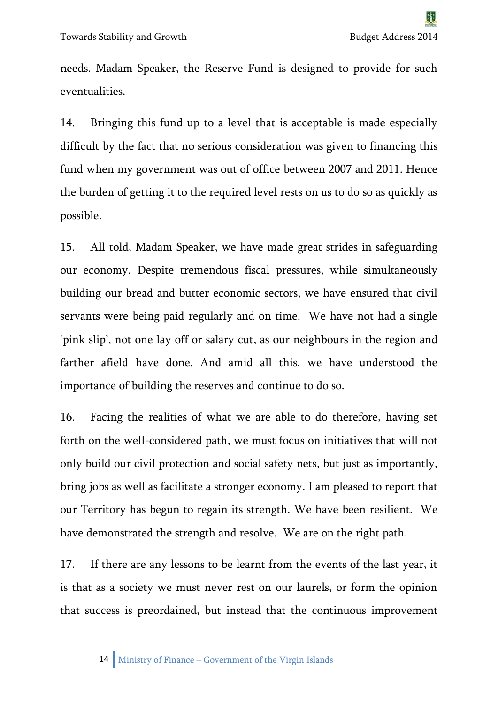needs. Madam Speaker, the Reserve Fund is designed to provide for such eventualities.

14. Bringing this fund up to a level that is acceptable is made especially difficult by the fact that no serious consideration was given to financing this fund when my government was out of office between 2007 and 2011. Hence the burden of getting it to the required level rests on us to do so as quickly as possible.

15. All told, Madam Speaker, we have made great strides in safeguarding our economy. Despite tremendous fiscal pressures, while simultaneously building our bread and butter economic sectors, we have ensured that civil servants were being paid regularly and on time. We have not had a single 'pink slip', not one lay off or salary cut, as our neighbours in the region and farther afield have done. And amid all this, we have understood the importance of building the reserves and continue to do so.

16. Facing the realities of what we are able to do therefore, having set forth on the well-considered path, we must focus on initiatives that will not only build our civil protection and social safety nets, but just as importantly, bring jobs as well as facilitate a stronger economy. I am pleased to report that our Territory has begun to regain its strength. We have been resilient. We have demonstrated the strength and resolve. We are on the right path.

17. If there are any lessons to be learnt from the events of the last year, it is that as a society we must never rest on our laurels, or form the opinion that success is preordained, but instead that the continuous improvement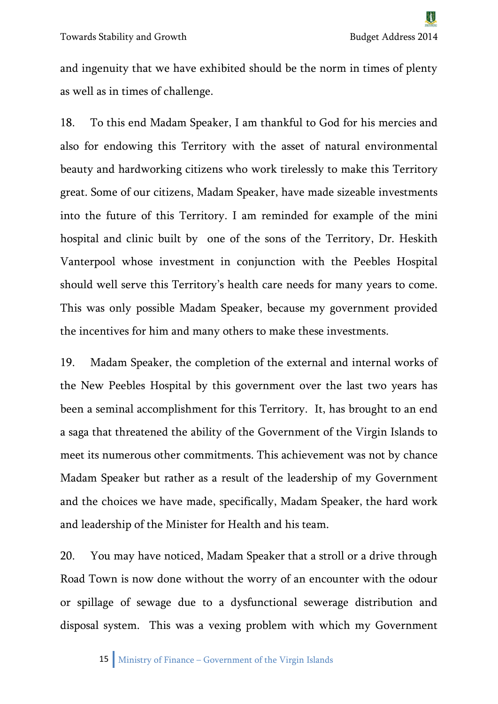and ingenuity that we have exhibited should be the norm in times of plenty as well as in times of challenge.

18. To this end Madam Speaker, I am thankful to God for his mercies and also for endowing this Territory with the asset of natural environmental beauty and hardworking citizens who work tirelessly to make this Territory great. Some of our citizens, Madam Speaker, have made sizeable investments into the future of this Territory. I am reminded for example of the mini hospital and clinic built by one of the sons of the Territory, Dr. Heskith Vanterpool whose investment in conjunction with the Peebles Hospital should well serve this Territory's health care needs for many years to come. This was only possible Madam Speaker, because my government provided the incentives for him and many others to make these investments.

19. Madam Speaker, the completion of the external and internal works of the New Peebles Hospital by this government over the last two years has been a seminal accomplishment for this Territory. It, has brought to an end a saga that threatened the ability of the Government of the Virgin Islands to meet its numerous other commitments. This achievement was not by chance Madam Speaker but rather as a result of the leadership of my Government and the choices we have made, specifically, Madam Speaker, the hard work and leadership of the Minister for Health and his team.

20. You may have noticed, Madam Speaker that a stroll or a drive through Road Town is now done without the worry of an encounter with the odour or spillage of sewage due to a dysfunctional sewerage distribution and disposal system. This was a vexing problem with which my Government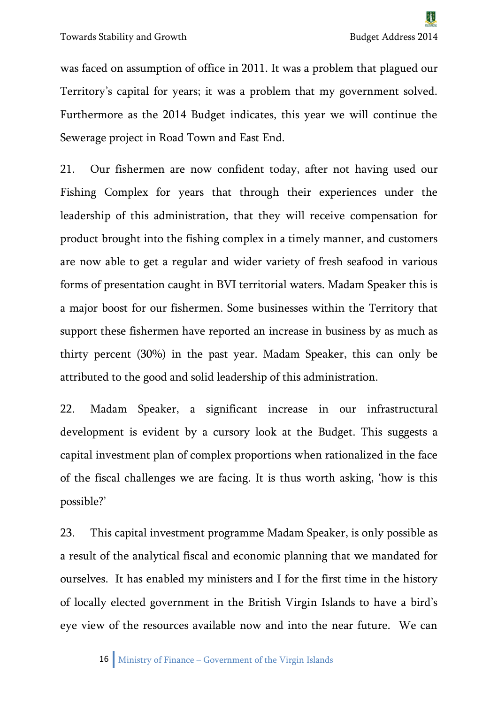was faced on assumption of office in 2011. It was a problem that plagued our Territory's capital for years; it was a problem that my government solved. Furthermore as the 2014 Budget indicates, this year we will continue the Sewerage project in Road Town and East End.

21. Our fishermen are now confident today, after not having used our Fishing Complex for years that through their experiences under the leadership of this administration, that they will receive compensation for product brought into the fishing complex in a timely manner, and customers are now able to get a regular and wider variety of fresh seafood in various forms of presentation caught in BVI territorial waters. Madam Speaker this is a major boost for our fishermen. Some businesses within the Territory that support these fishermen have reported an increase in business by as much as thirty percent (30%) in the past year. Madam Speaker, this can only be attributed to the good and solid leadership of this administration.

22. Madam Speaker, a significant increase in our infrastructural development is evident by a cursory look at the Budget. This suggests a capital investment plan of complex proportions when rationalized in the face of the fiscal challenges we are facing. It is thus worth asking, 'how is this possible?'

23. This capital investment programme Madam Speaker, is only possible as a result of the analytical fiscal and economic planning that we mandated for ourselves. It has enabled my ministers and I for the first time in the history of locally elected government in the British Virgin Islands to have a bird's eye view of the resources available now and into the near future. We can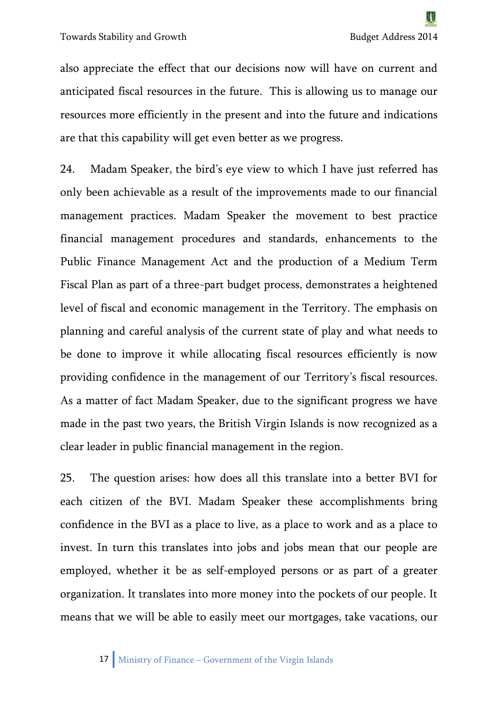also appreciate the effect that our decisions now will have on current and anticipated fiscal resources in the future. This is allowing us to manage our resources more efficiently in the present and into the future and indications are that this capability will get even better as we progress.

24. Madam Speaker, the bird's eye view to which I have just referred has only been achievable as a result of the improvements made to our financial management practices. Madam Speaker the movement to best practice financial management procedures and standards, enhancements to the Public Finance Management Act and the production of a Medium Term Fiscal Plan as part of a three-part budget process, demonstrates a heightened level of fiscal and economic management in the Territory. The emphasis on planning and careful analysis of the current state of play and what needs to be done to improve it while allocating fiscal resources efficiently is now providing confidence in the management of our Territory's fiscal resources. As a matter of fact Madam Speaker, due to the significant progress we have made in the past two years, the British Virgin Islands is now recognized as a clear leader in public financial management in the region.

25. The question arises: how does all this translate into a better BVI for each citizen of the BVI. Madam Speaker these accomplishments bring confidence in the BVI as a place to live, as a place to work and as a place to invest. In turn this translates into jobs and jobs mean that our people are employed, whether it be as self-employed persons or as part of a greater organization. It translates into more money into the pockets of our people. It means that we will be able to easily meet our mortgages, take vacations, our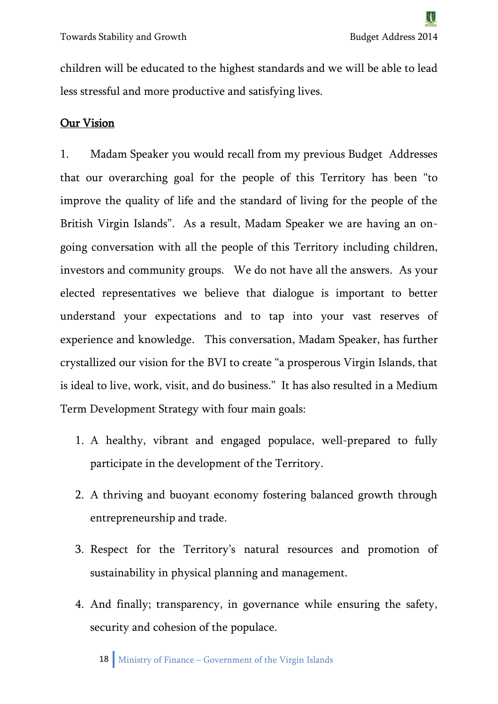children will be educated to the highest standards and we will be able to lead less stressful and more productive and satisfying lives.

#### Our Vision

1. Madam Speaker you would recall from my previous Budget Addresses that our overarching goal for the people of this Territory has been "to improve the quality of life and the standard of living for the people of the British Virgin Islands". As a result, Madam Speaker we are having an ongoing conversation with all the people of this Territory including children, investors and community groups. We do not have all the answers. As your elected representatives we believe that dialogue is important to better understand your expectations and to tap into your vast reserves of experience and knowledge. This conversation, Madam Speaker, has further crystallized our vision for the BVI to create "a prosperous Virgin Islands, that is ideal to live, work, visit, and do business." It has also resulted in a Medium Term Development Strategy with four main goals:

- 1. A healthy, vibrant and engaged populace, well-prepared to fully participate in the development of the Territory.
- 2. A thriving and buoyant economy fostering balanced growth through entrepreneurship and trade.
- 3. Respect for the Territory's natural resources and promotion of sustainability in physical planning and management.
- 4. And finally; transparency, in governance while ensuring the safety, security and cohesion of the populace.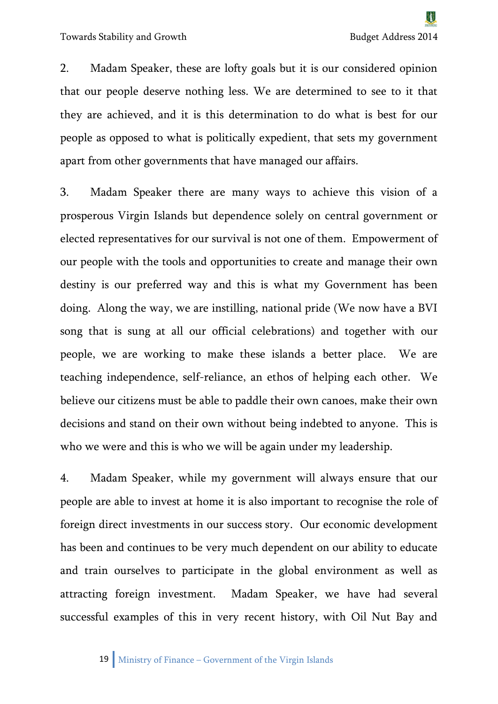2. Madam Speaker, these are lofty goals but it is our considered opinion that our people deserve nothing less. We are determined to see to it that they are achieved, and it is this determination to do what is best for our people as opposed to what is politically expedient, that sets my government apart from other governments that have managed our affairs.

3. Madam Speaker there are many ways to achieve this vision of a prosperous Virgin Islands but dependence solely on central government or elected representatives for our survival is not one of them. Empowerment of our people with the tools and opportunities to create and manage their own destiny is our preferred way and this is what my Government has been doing. Along the way, we are instilling, national pride (We now have a BVI song that is sung at all our official celebrations) and together with our people, we are working to make these islands a better place. We are teaching independence, self-reliance, an ethos of helping each other. We believe our citizens must be able to paddle their own canoes, make their own decisions and stand on their own without being indebted to anyone. This is who we were and this is who we will be again under my leadership.

4. Madam Speaker, while my government will always ensure that our people are able to invest at home it is also important to recognise the role of foreign direct investments in our success story. Our economic development has been and continues to be very much dependent on our ability to educate and train ourselves to participate in the global environment as well as attracting foreign investment. Madam Speaker, we have had several successful examples of this in very recent history, with Oil Nut Bay and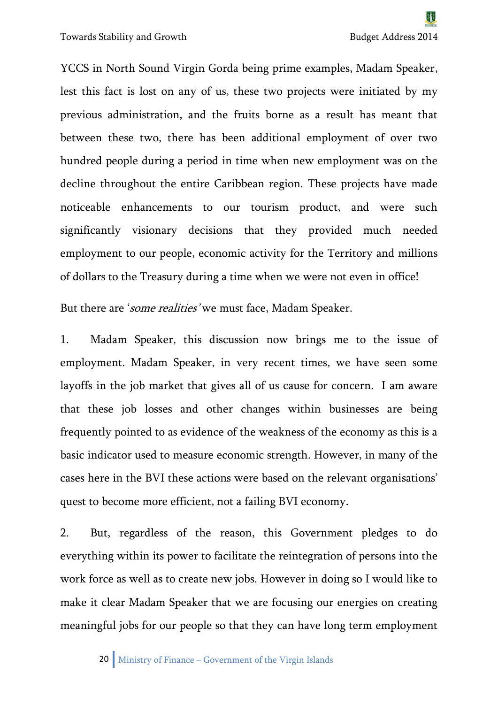Towards Stability and Growth Budget Address 2014

YCCS in North Sound Virgin Gorda being prime examples, Madam Speaker, lest this fact is lost on any of us, these two projects were initiated by my previous administration, and the fruits borne as a result has meant that between these two, there has been additional employment of over two hundred people during a period in time when new employment was on the decline throughout the entire Caribbean region. These projects have made noticeable enhancements to our tourism product, and were such significantly visionary decisions that they provided much needed employment to our people, economic activity for the Territory and millions of dollars to the Treasury during a time when we were not even in office!

But there are 'some realities' we must face, Madam Speaker.

1. Madam Speaker, this discussion now brings me to the issue of employment. Madam Speaker, in very recent times, we have seen some layoffs in the job market that gives all of us cause for concern. I am aware that these job losses and other changes within businesses are being frequently pointed to as evidence of the weakness of the economy as this is a basic indicator used to measure economic strength. However, in many of the cases here in the BVI these actions were based on the relevant organisations' quest to become more efficient, not a failing BVI economy.

2. But, regardless of the reason, this Government pledges to do everything within its power to facilitate the reintegration of persons into the work force as well as to create new jobs. However in doing so I would like to make it clear Madam Speaker that we are focusing our energies on creating meaningful jobs for our people so that they can have long term employment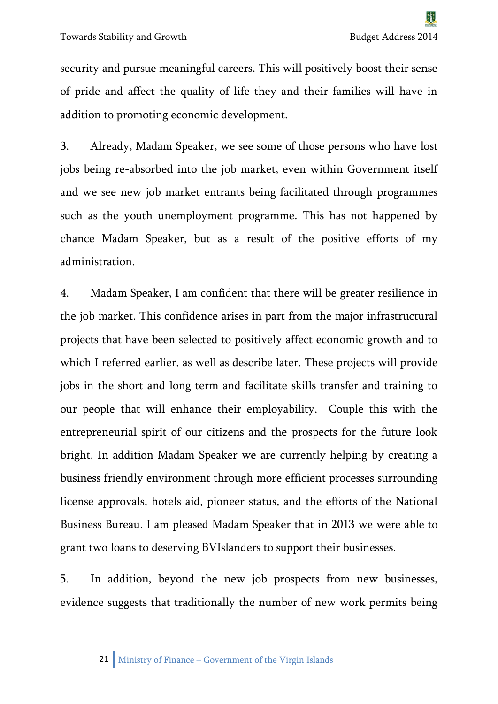security and pursue meaningful careers. This will positively boost their sense of pride and affect the quality of life they and their families will have in addition to promoting economic development.

3. Already, Madam Speaker, we see some of those persons who have lost jobs being re-absorbed into the job market, even within Government itself and we see new job market entrants being facilitated through programmes such as the youth unemployment programme. This has not happened by chance Madam Speaker, but as a result of the positive efforts of my administration.

4. Madam Speaker, I am confident that there will be greater resilience in the job market. This confidence arises in part from the major infrastructural projects that have been selected to positively affect economic growth and to which I referred earlier, as well as describe later. These projects will provide jobs in the short and long term and facilitate skills transfer and training to our people that will enhance their employability. Couple this with the entrepreneurial spirit of our citizens and the prospects for the future look bright. In addition Madam Speaker we are currently helping by creating a business friendly environment through more efficient processes surrounding license approvals, hotels aid, pioneer status, and the efforts of the National Business Bureau. I am pleased Madam Speaker that in 2013 we were able to grant two loans to deserving BVIslanders to support their businesses.

5. In addition, beyond the new job prospects from new businesses, evidence suggests that traditionally the number of new work permits being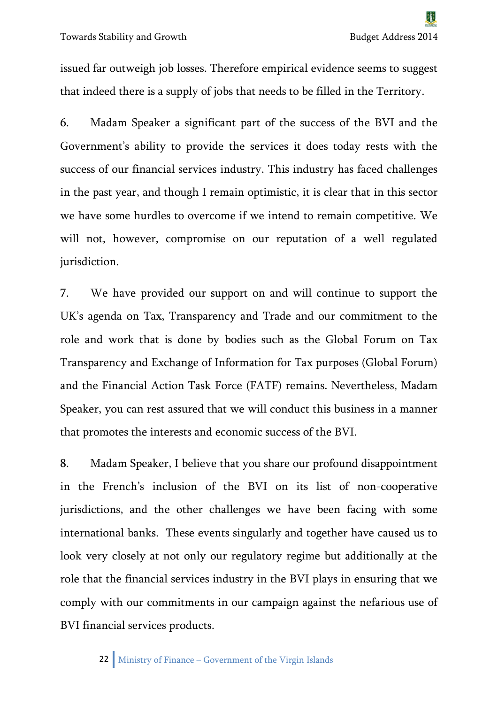issued far outweigh job losses. Therefore empirical evidence seems to suggest that indeed there is a supply of jobs that needs to be filled in the Territory.

6. Madam Speaker a significant part of the success of the BVI and the Government's ability to provide the services it does today rests with the success of our financial services industry. This industry has faced challenges in the past year, and though I remain optimistic, it is clear that in this sector we have some hurdles to overcome if we intend to remain competitive. We will not, however, compromise on our reputation of a well regulated jurisdiction.

7. We have provided our support on and will continue to support the UK's agenda on Tax, Transparency and Trade and our commitment to the role and work that is done by bodies such as the Global Forum on Tax Transparency and Exchange of Information for Tax purposes (Global Forum) and the Financial Action Task Force (FATF) remains. Nevertheless, Madam Speaker, you can rest assured that we will conduct this business in a manner that promotes the interests and economic success of the BVI.

8. Madam Speaker, I believe that you share our profound disappointment in the French's inclusion of the BVI on its list of non-cooperative jurisdictions, and the other challenges we have been facing with some international banks. These events singularly and together have caused us to look very closely at not only our regulatory regime but additionally at the role that the financial services industry in the BVI plays in ensuring that we comply with our commitments in our campaign against the nefarious use of BVI financial services products.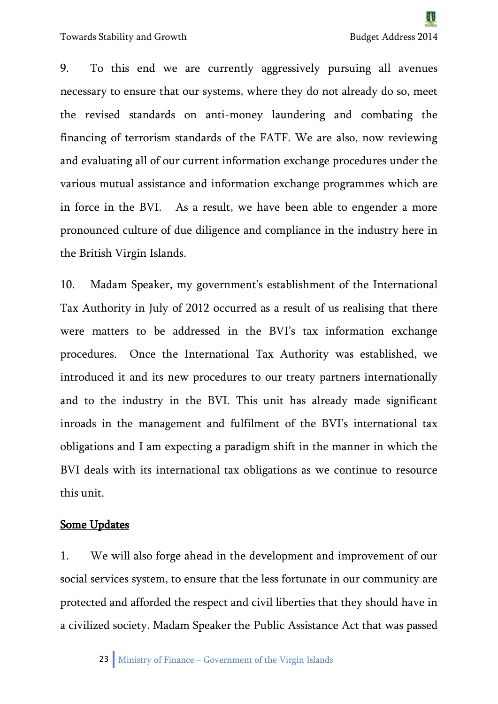9. To this end we are currently aggressively pursuing all avenues necessary to ensure that our systems, where they do not already do so, meet the revised standards on anti-money laundering and combating the financing of terrorism standards of the FATF. We are also, now reviewing and evaluating all of our current information exchange procedures under the various mutual assistance and information exchange programmes which are in force in the BVI. As a result, we have been able to engender a more pronounced culture of due diligence and compliance in the industry here in the British Virgin Islands.

10. Madam Speaker, my government's establishment of the International Tax Authority in July of 2012 occurred as a result of us realising that there were matters to be addressed in the BVI's tax information exchange procedures. Once the International Tax Authority was established, we introduced it and its new procedures to our treaty partners internationally and to the industry in the BVI. This unit has already made significant inroads in the management and fulfilment of the BVI's international tax obligations and I am expecting a paradigm shift in the manner in which the BVI deals with its international tax obligations as we continue to resource this unit.

#### Some Updates

1. We will also forge ahead in the development and improvement of our social services system, to ensure that the less fortunate in our community are protected and afforded the respect and civil liberties that they should have in a civilized society. Madam Speaker the Public Assistance Act that was passed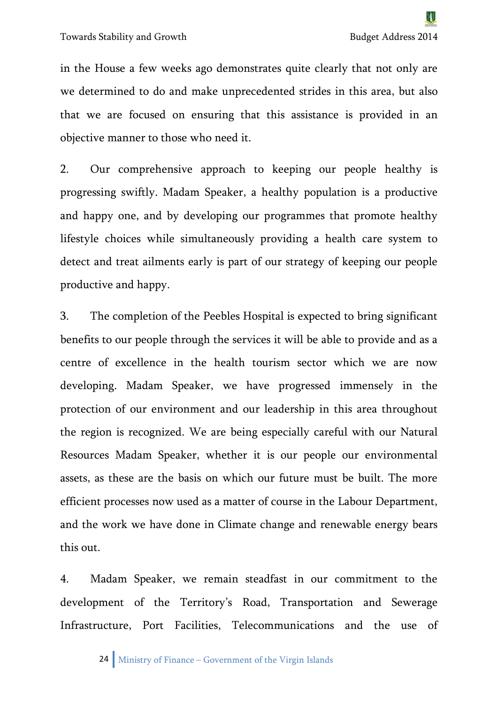in the House a few weeks ago demonstrates quite clearly that not only are we determined to do and make unprecedented strides in this area, but also that we are focused on ensuring that this assistance is provided in an objective manner to those who need it.

2. Our comprehensive approach to keeping our people healthy is progressing swiftly. Madam Speaker, a healthy population is a productive and happy one, and by developing our programmes that promote healthy lifestyle choices while simultaneously providing a health care system to detect and treat ailments early is part of our strategy of keeping our people productive and happy.

3. The completion of the Peebles Hospital is expected to bring significant benefits to our people through the services it will be able to provide and as a centre of excellence in the health tourism sector which we are now developing. Madam Speaker, we have progressed immensely in the protection of our environment and our leadership in this area throughout the region is recognized. We are being especially careful with our Natural Resources Madam Speaker, whether it is our people our environmental assets, as these are the basis on which our future must be built. The more efficient processes now used as a matter of course in the Labour Department, and the work we have done in Climate change and renewable energy bears this out.

4. Madam Speaker, we remain steadfast in our commitment to the development of the Territory's Road, Transportation and Sewerage Infrastructure, Port Facilities, Telecommunications and the use of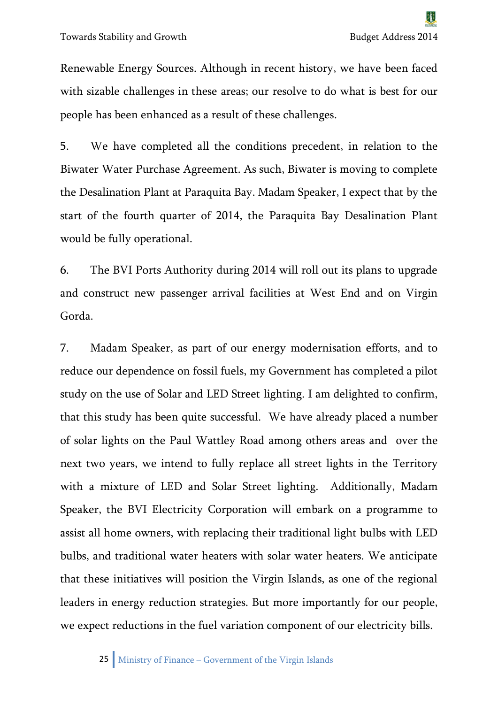Renewable Energy Sources. Although in recent history, we have been faced with sizable challenges in these areas; our resolve to do what is best for our people has been enhanced as a result of these challenges.

5. We have completed all the conditions precedent, in relation to the Biwater Water Purchase Agreement. As such, Biwater is moving to complete the Desalination Plant at Paraquita Bay. Madam Speaker, I expect that by the start of the fourth quarter of 2014, the Paraquita Bay Desalination Plant would be fully operational.

6. The BVI Ports Authority during 2014 will roll out its plans to upgrade and construct new passenger arrival facilities at West End and on Virgin Gorda.

7. Madam Speaker, as part of our energy modernisation efforts, and to reduce our dependence on fossil fuels, my Government has completed a pilot study on the use of Solar and LED Street lighting. I am delighted to confirm, that this study has been quite successful. We have already placed a number of solar lights on the Paul Wattley Road among others areas and over the next two years, we intend to fully replace all street lights in the Territory with a mixture of LED and Solar Street lighting. Additionally, Madam Speaker, the BVI Electricity Corporation will embark on a programme to assist all home owners, with replacing their traditional light bulbs with LED bulbs, and traditional water heaters with solar water heaters. We anticipate that these initiatives will position the Virgin Islands, as one of the regional leaders in energy reduction strategies. But more importantly for our people, we expect reductions in the fuel variation component of our electricity bills.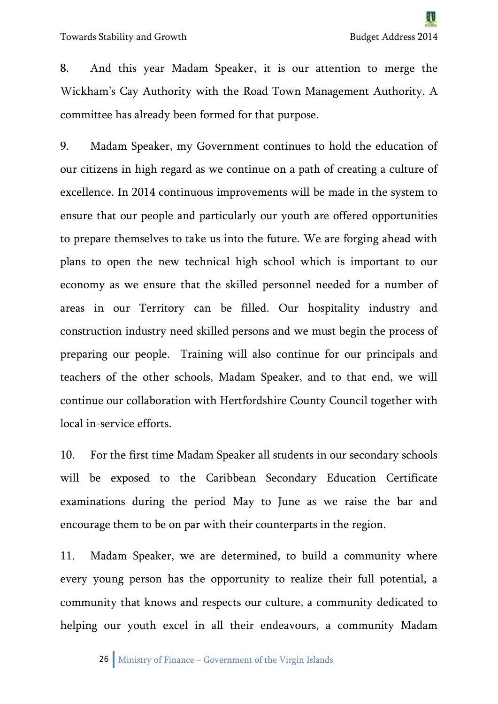8. And this year Madam Speaker, it is our attention to merge the Wickham's Cay Authority with the Road Town Management Authority. A committee has already been formed for that purpose.

9. Madam Speaker, my Government continues to hold the education of our citizens in high regard as we continue on a path of creating a culture of excellence. In 2014 continuous improvements will be made in the system to ensure that our people and particularly our youth are offered opportunities to prepare themselves to take us into the future. We are forging ahead with plans to open the new technical high school which is important to our economy as we ensure that the skilled personnel needed for a number of areas in our Territory can be filled. Our hospitality industry and construction industry need skilled persons and we must begin the process of preparing our people. Training will also continue for our principals and teachers of the other schools, Madam Speaker, and to that end, we will continue our collaboration with Hertfordshire County Council together with local in-service efforts.

10. For the first time Madam Speaker all students in our secondary schools will be exposed to the Caribbean Secondary Education Certificate examinations during the period May to June as we raise the bar and encourage them to be on par with their counterparts in the region.

11. Madam Speaker, we are determined, to build a community where every young person has the opportunity to realize their full potential, a community that knows and respects our culture, a community dedicated to helping our youth excel in all their endeavours, a community Madam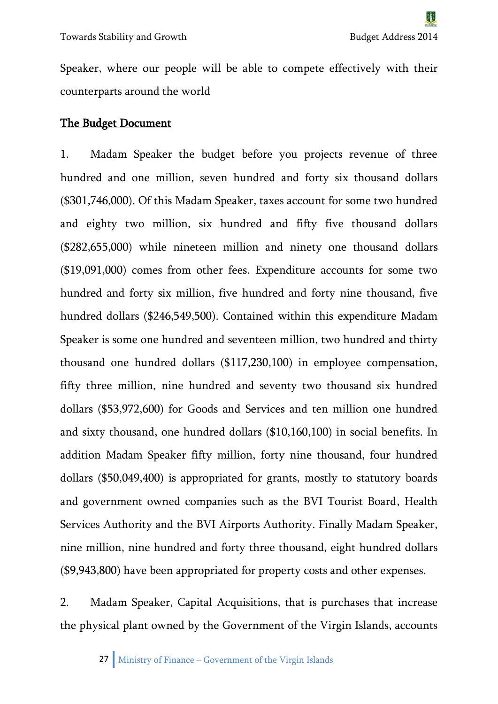Speaker, where our people will be able to compete effectively with their counterparts around the world

#### The Budget Document

1. Madam Speaker the budget before you projects revenue of three hundred and one million, seven hundred and forty six thousand dollars (\$301,746,000). Of this Madam Speaker, taxes account for some two hundred and eighty two million, six hundred and fifty five thousand dollars (\$282,655,000) while nineteen million and ninety one thousand dollars (\$19,091,000) comes from other fees. Expenditure accounts for some two hundred and forty six million, five hundred and forty nine thousand, five hundred dollars (\$246,549,500). Contained within this expenditure Madam Speaker is some one hundred and seventeen million, two hundred and thirty thousand one hundred dollars (\$117,230,100) in employee compensation, fifty three million, nine hundred and seventy two thousand six hundred dollars (\$53,972,600) for Goods and Services and ten million one hundred and sixty thousand, one hundred dollars (\$10,160,100) in social benefits. In addition Madam Speaker fifty million, forty nine thousand, four hundred dollars (\$50,049,400) is appropriated for grants, mostly to statutory boards and government owned companies such as the BVI Tourist Board, Health Services Authority and the BVI Airports Authority. Finally Madam Speaker, nine million, nine hundred and forty three thousand, eight hundred dollars (\$9,943,800) have been appropriated for property costs and other expenses.

2. Madam Speaker, Capital Acquisitions, that is purchases that increase the physical plant owned by the Government of the Virgin Islands, accounts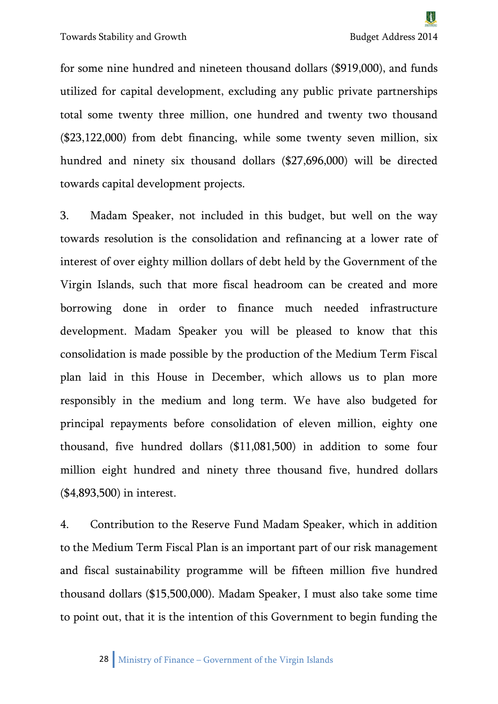Towards Stability and Growth Budget Address 2014

for some nine hundred and nineteen thousand dollars (\$919,000), and funds utilized for capital development, excluding any public private partnerships total some twenty three million, one hundred and twenty two thousand (\$23,122,000) from debt financing, while some twenty seven million, six hundred and ninety six thousand dollars (\$27,696,000) will be directed towards capital development projects.

3. Madam Speaker, not included in this budget, but well on the way towards resolution is the consolidation and refinancing at a lower rate of interest of over eighty million dollars of debt held by the Government of the Virgin Islands, such that more fiscal headroom can be created and more borrowing done in order to finance much needed infrastructure development. Madam Speaker you will be pleased to know that this consolidation is made possible by the production of the Medium Term Fiscal plan laid in this House in December, which allows us to plan more responsibly in the medium and long term. We have also budgeted for principal repayments before consolidation of eleven million, eighty one thousand, five hundred dollars (\$11,081,500) in addition to some four million eight hundred and ninety three thousand five, hundred dollars (\$4,893,500) in interest.

4. Contribution to the Reserve Fund Madam Speaker, which in addition to the Medium Term Fiscal Plan is an important part of our risk management and fiscal sustainability programme will be fifteen million five hundred thousand dollars (\$15,500,000). Madam Speaker, I must also take some time to point out, that it is the intention of this Government to begin funding the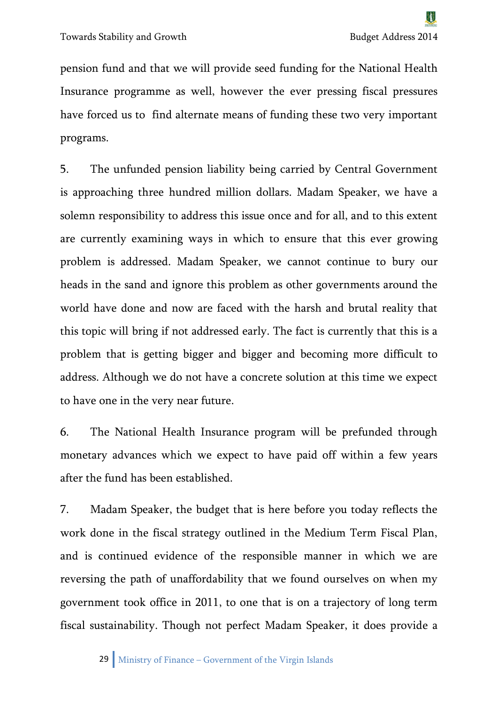pension fund and that we will provide seed funding for the National Health Insurance programme as well, however the ever pressing fiscal pressures have forced us to find alternate means of funding these two very important programs.

5. The unfunded pension liability being carried by Central Government is approaching three hundred million dollars. Madam Speaker, we have a solemn responsibility to address this issue once and for all, and to this extent are currently examining ways in which to ensure that this ever growing problem is addressed. Madam Speaker, we cannot continue to bury our heads in the sand and ignore this problem as other governments around the world have done and now are faced with the harsh and brutal reality that this topic will bring if not addressed early. The fact is currently that this is a problem that is getting bigger and bigger and becoming more difficult to address. Although we do not have a concrete solution at this time we expect to have one in the very near future.

6. The National Health Insurance program will be prefunded through monetary advances which we expect to have paid off within a few years after the fund has been established.

7. Madam Speaker, the budget that is here before you today reflects the work done in the fiscal strategy outlined in the Medium Term Fiscal Plan, and is continued evidence of the responsible manner in which we are reversing the path of unaffordability that we found ourselves on when my government took office in 2011, to one that is on a trajectory of long term fiscal sustainability. Though not perfect Madam Speaker, it does provide a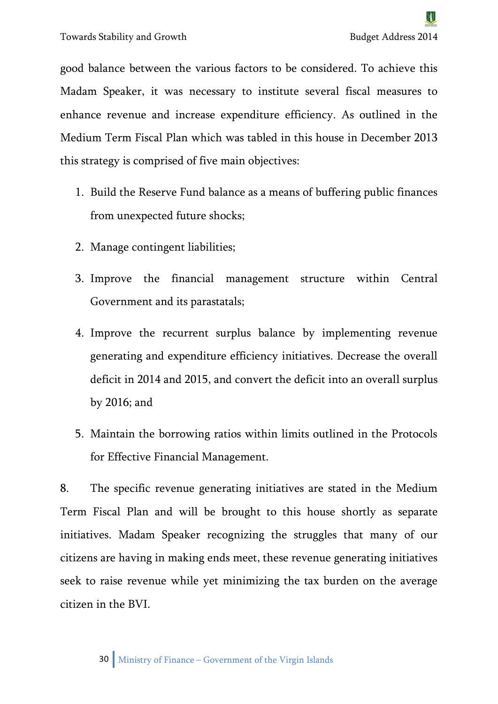good balance between the various factors to be considered. To achieve this Madam Speaker, it was necessary to institute several fiscal measures to enhance revenue and increase expenditure efficiency. As outlined in the Medium Term Fiscal Plan which was tabled in this house in December 2013 this strategy is comprised of five main objectives:

- 1. Build the Reserve Fund balance as a means of buffering public finances from unexpected future shocks;
- 2. Manage contingent liabilities;
- 3. Improve the financial management structure within Central Government and its parastatals;
- 4. Improve the recurrent surplus balance by implementing revenue generating and expenditure efficiency initiatives. Decrease the overall deficit in 2014 and 2015, and convert the deficit into an overall surplus by 2016; and
- 5. Maintain the borrowing ratios within limits outlined in the Protocols for Effective Financial Management.

8. The specific revenue generating initiatives are stated in the Medium Term Fiscal Plan and will be brought to this house shortly as separate initiatives. Madam Speaker recognizing the struggles that many of our citizens are having in making ends meet, these revenue generating initiatives seek to raise revenue while yet minimizing the tax burden on the average citizen in the BVI.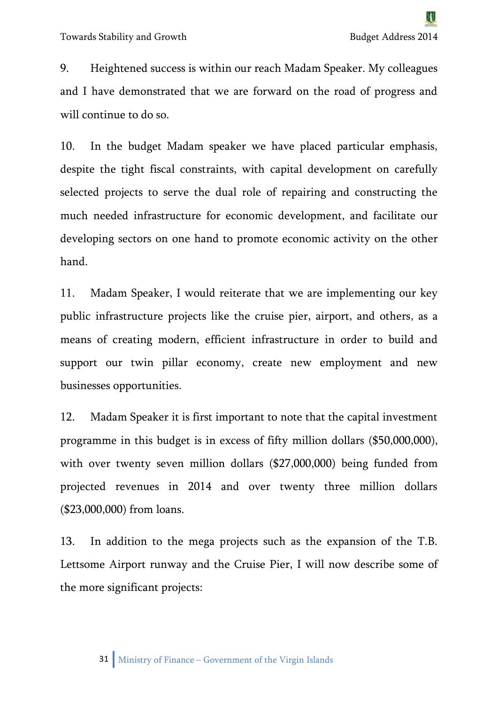9. Heightened success is within our reach Madam Speaker. My colleagues and I have demonstrated that we are forward on the road of progress and will continue to do so.

10. In the budget Madam speaker we have placed particular emphasis, despite the tight fiscal constraints, with capital development on carefully selected projects to serve the dual role of repairing and constructing the much needed infrastructure for economic development, and facilitate our developing sectors on one hand to promote economic activity on the other hand.

11. Madam Speaker, I would reiterate that we are implementing our key public infrastructure projects like the cruise pier, airport, and others, as a means of creating modern, efficient infrastructure in order to build and support our twin pillar economy, create new employment and new businesses opportunities.

12. Madam Speaker it is first important to note that the capital investment programme in this budget is in excess of fifty million dollars (\$50,000,000), with over twenty seven million dollars (\$27,000,000) being funded from projected revenues in 2014 and over twenty three million dollars (\$23,000,000) from loans.

13. In addition to the mega projects such as the expansion of the T.B. Lettsome Airport runway and the Cruise Pier, I will now describe some of the more significant projects: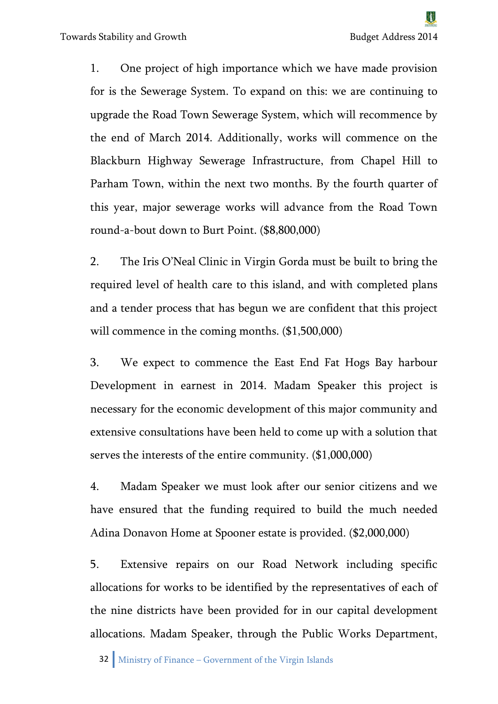1. One project of high importance which we have made provision for is the Sewerage System. To expand on this: we are continuing to upgrade the Road Town Sewerage System, which will recommence by the end of March 2014. Additionally, works will commence on the Blackburn Highway Sewerage Infrastructure, from Chapel Hill to Parham Town, within the next two months. By the fourth quarter of this year, major sewerage works will advance from the Road Town round-a-bout down to Burt Point. (\$8,800,000)

2. The Iris O'Neal Clinic in Virgin Gorda must be built to bring the required level of health care to this island, and with completed plans and a tender process that has begun we are confident that this project will commence in the coming months.  $(\$1,500,000)$ 

3. We expect to commence the East End Fat Hogs Bay harbour Development in earnest in 2014. Madam Speaker this project is necessary for the economic development of this major community and extensive consultations have been held to come up with a solution that serves the interests of the entire community. (\$1,000,000)

4. Madam Speaker we must look after our senior citizens and we have ensured that the funding required to build the much needed Adina Donavon Home at Spooner estate is provided. (\$2,000,000)

5. Extensive repairs on our Road Network including specific allocations for works to be identified by the representatives of each of the nine districts have been provided for in our capital development allocations. Madam Speaker, through the Public Works Department,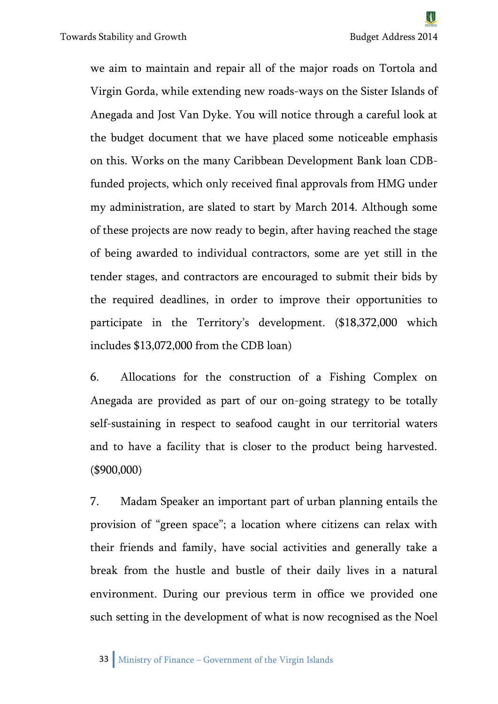we aim to maintain and repair all of the major roads on Tortola and Virgin Gorda, while extending new roads-ways on the Sister Islands of Anegada and Jost Van Dyke. You will notice through a careful look at the budget document that we have placed some noticeable emphasis on this. Works on the many Caribbean Development Bank loan CDBfunded projects, which only received final approvals from HMG under my administration, are slated to start by March 2014. Although some of these projects are now ready to begin, after having reached the stage of being awarded to individual contractors, some are yet still in the tender stages, and contractors are encouraged to submit their bids by the required deadlines, in order to improve their opportunities to participate in the Territory's development. (\$18,372,000 which includes \$13,072,000 from the CDB loan)

6. Allocations for the construction of a Fishing Complex on Anegada are provided as part of our on-going strategy to be totally self-sustaining in respect to seafood caught in our territorial waters and to have a facility that is closer to the product being harvested. (\$900,000)

7. Madam Speaker an important part of urban planning entails the provision of "green space"; a location where citizens can relax with their friends and family, have social activities and generally take a break from the hustle and bustle of their daily lives in a natural environment. During our previous term in office we provided one such setting in the development of what is now recognised as the Noel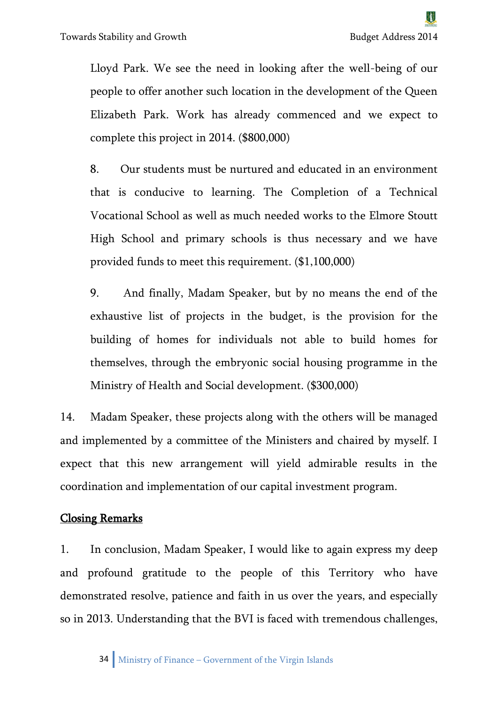Lloyd Park. We see the need in looking after the well-being of our people to offer another such location in the development of the Queen Elizabeth Park. Work has already commenced and we expect to complete this project in 2014. (\$800,000)

8. Our students must be nurtured and educated in an environment that is conducive to learning. The Completion of a Technical Vocational School as well as much needed works to the Elmore Stoutt High School and primary schools is thus necessary and we have provided funds to meet this requirement. (\$1,100,000)

9. And finally, Madam Speaker, but by no means the end of the exhaustive list of projects in the budget, is the provision for the building of homes for individuals not able to build homes for themselves, through the embryonic social housing programme in the Ministry of Health and Social development. (\$300,000)

14. Madam Speaker, these projects along with the others will be managed and implemented by a committee of the Ministers and chaired by myself. I expect that this new arrangement will yield admirable results in the coordination and implementation of our capital investment program.

#### Closing Remarks

1. In conclusion, Madam Speaker, I would like to again express my deep and profound gratitude to the people of this Territory who have demonstrated resolve, patience and faith in us over the years, and especially so in 2013. Understanding that the BVI is faced with tremendous challenges,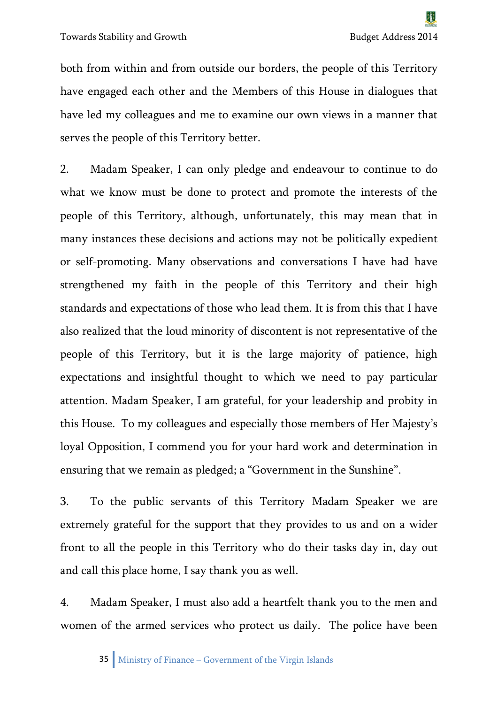both from within and from outside our borders, the people of this Territory have engaged each other and the Members of this House in dialogues that have led my colleagues and me to examine our own views in a manner that serves the people of this Territory better.

2. Madam Speaker, I can only pledge and endeavour to continue to do what we know must be done to protect and promote the interests of the people of this Territory, although, unfortunately, this may mean that in many instances these decisions and actions may not be politically expedient or self-promoting. Many observations and conversations I have had have strengthened my faith in the people of this Territory and their high standards and expectations of those who lead them. It is from this that I have also realized that the loud minority of discontent is not representative of the people of this Territory, but it is the large majority of patience, high expectations and insightful thought to which we need to pay particular attention. Madam Speaker, I am grateful, for your leadership and probity in this House. To my colleagues and especially those members of Her Majesty's loyal Opposition, I commend you for your hard work and determination in ensuring that we remain as pledged; a "Government in the Sunshine".

3. To the public servants of this Territory Madam Speaker we are extremely grateful for the support that they provides to us and on a wider front to all the people in this Territory who do their tasks day in, day out and call this place home, I say thank you as well.

4. Madam Speaker, I must also add a heartfelt thank you to the men and women of the armed services who protect us daily. The police have been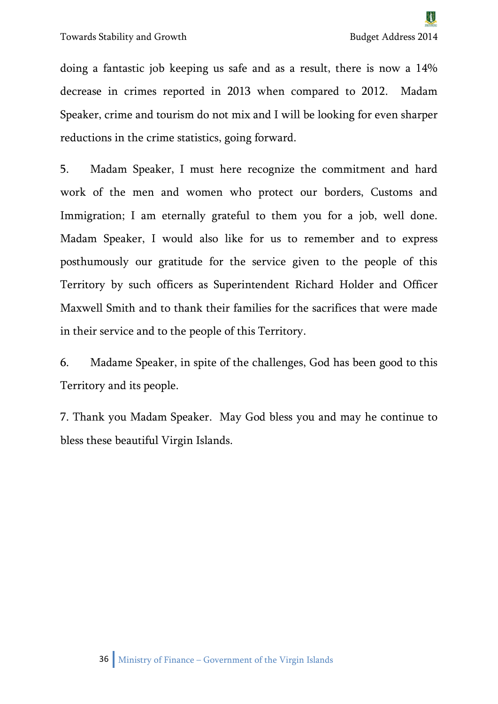doing a fantastic job keeping us safe and as a result, there is now a 14% decrease in crimes reported in 2013 when compared to 2012. Madam Speaker, crime and tourism do not mix and I will be looking for even sharper reductions in the crime statistics, going forward.

5. Madam Speaker, I must here recognize the commitment and hard work of the men and women who protect our borders, Customs and Immigration; I am eternally grateful to them you for a job, well done. Madam Speaker, I would also like for us to remember and to express posthumously our gratitude for the service given to the people of this Territory by such officers as Superintendent Richard Holder and Officer Maxwell Smith and to thank their families for the sacrifices that were made in their service and to the people of this Territory.

6. Madame Speaker, in spite of the challenges, God has been good to this Territory and its people.

7. Thank you Madam Speaker. May God bless you and may he continue to bless these beautiful Virgin Islands.